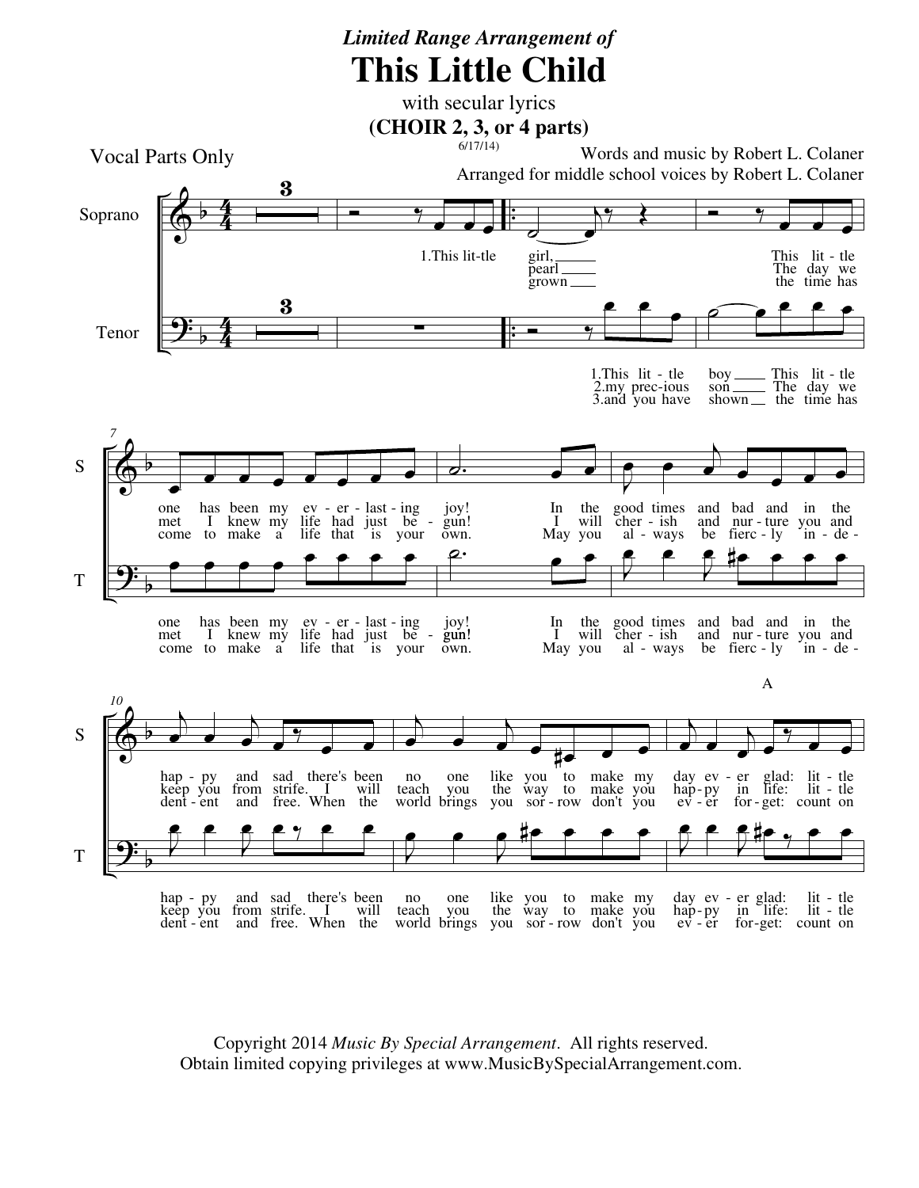## *Limited Range Arrangement of* **This Little Child**

with secular lyrics



Copyright 2014 *Music By Special Arrangement*. All rights reserved. Obtain limited copying privileges at www.MusicBySpecialArrangement.com.